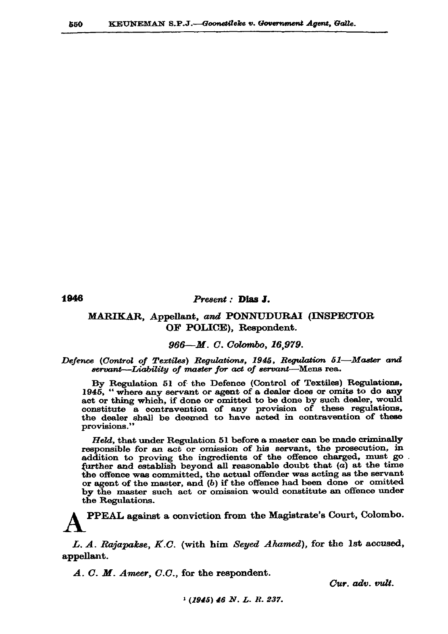1946

### Present : Dias J.

# MARIKAR, Appellant, and PONNUDURAI (INSPECTOR OF POLICE), Respondent.

## 966-M. C. Colombo, 16.979.

### Defence (Control of Textiles) Regulations, 1945, Regulation 51-Master and servant-Liability of master for act of servant-Mens rea.

By Regulation 51 of the Defence (Control of Textiles) Regulations, 1945, "where any servant or agent of a dealer does or omits to do any act or thing which, if done or omitted to be done by such dealer, would constitute a contravention of any provision of these regulations, the dealer shall be deemed to have acted in contravention of these provisions."

Held, that under Regulation 51 before a master can be made criminally responsible for an act or omission of his servant, the prosecution, in addition to proving the ingredients of the offence charged, must go . further and establish beyond all reasonable doubt that  $(a)$  at the time the offence was committed, the actual offender was acting as the servant or agent of the master, and  $(b)$  if the offence had been done or omitted by the master such act or omission would constitute an offence under the Regulations.

PPEAL against a conviction from the Magistrate's Court, Colombo.

L. A. Rajapakse, K.C. (with him Seyed Ahamed), for the 1st accused, appellant.

 $A. C. M. Ameer, C.C.,$  for the respondent.

Cur. adv. vult.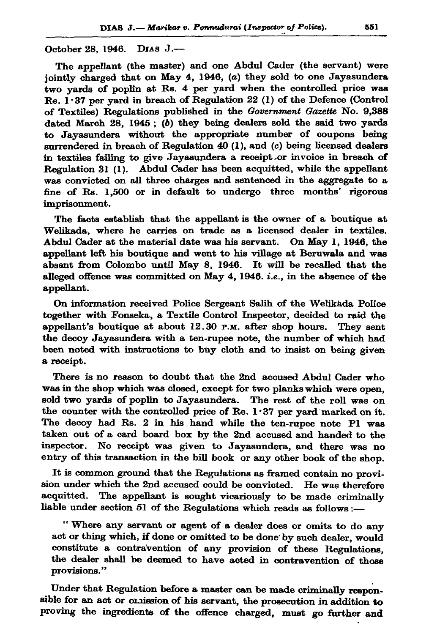## October 28, 1946. DIAS J.-

The appellant (the master) and one Abdul Cader (the servant) were jointly charged that on May 4, 1946, (a) they sold to one Jayasundera two yards of poplin at Rs. 4 per yard when the controlled price was Re. 1.37 per vard in breach of Regulation 22 (1) of the Defence (Control of Textiles) Regulations published in the Government Gazette No. 9,388 dated March 28, 1945; ( $b$ ) they being dealers sold the said two yards to Javasundera without the appropriate number of coupons being surrendered in breach of Regulation 40 (1), and (c) being licensed dealers in textiles failing to give Jayasundera a receipt or invoice in breach of Regulation 31 (1). Abdul Cader has been acquitted, while the appellant was convicted on all three charges and sentenced in the aggregate to a fine of Rs. 1,500 or in default to undergo three months' rigorous imprisonment.

The facts establish that the appellant is the owner of a boutique at Welikada, where he carries on trade as a licensed dealer in textiles. Abdul Cader at the material date was his servant. On May 1, 1946, the appellant left his boutique and went to his village at Beruwala and was absent from Colombo until May 8, 1946. It will be recalled that the alleged offence was committed on May 4, 1946. *i.e.*, in the absence of the appellant.

On information received Police Sergeant Salih of the Welikada Police together with Fonseka, a Textile Control Inspector, decided to raid the appellant's boutique at about 12.30 P.M. after shop hours. They sent the decoy Jayasundera with a ten-rupee note, the number of which had been noted with instructions to buy cloth and to insist on being given a receipt.

There is no reason to doubt that the 2nd accused Abdul Cader who was in the shop which was closed, except for two planks which were open, sold two yards of poplin to Jayasundera. The rest of the roll was on the counter with the controlled price of Re. 1.37 per yard marked on it. The decoy had Rs. 2 in his hand while the ten-rupee note Pl was taken out of a card board box by the 2nd accused and handed to the inspector. No receipt was given to Jayasundera, and there was no entry of this transaction in the bill book or any other book of the shop.

It is common ground that the Regulations as framed contain no provision under which the 2nd accused could be convicted. He was therefore acquitted. The appellant is sought vicariously to be made criminally liable under section 51 of the Regulations which reads as follows :-

"Where any servant or agent of a dealer does or omits to do any act or thing which, if done or omitted to be done by such dealer, would constitute a contravention of any provision of these Regulations, the dealer shall be deemed to have acted in contravention of those provisions."

Under that Regulation before a master can be made criminally responsible for an act or omission of his servant, the prosecution in addition to proving the ingredients of the offence charged, must go further and